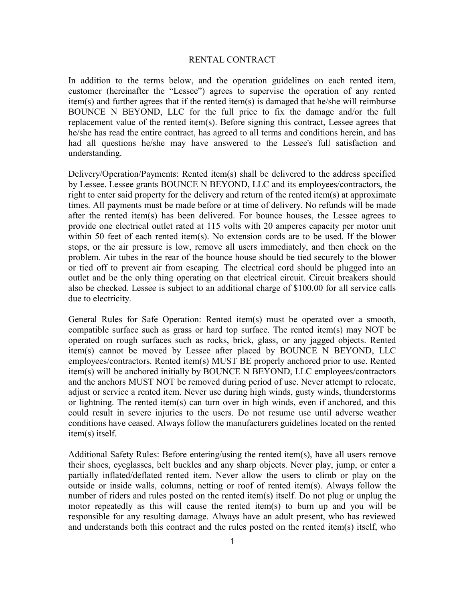## RENTAL CONTRACT

In addition to the terms below, and the operation guidelines on each rented item, customer (hereinafter the "Lessee") agrees to supervise the operation of any rented item(s) and further agrees that if the rented item(s) is damaged that he/she will reimburse BOUNCE N BEYOND, LLC for the full price to fix the damage and/or the full replacement value of the rented item(s). Before signing this contract, Lessee agrees that he/she has read the entire contract, has agreed to all terms and conditions herein, and has had all questions he/she may have answered to the Lessee's full satisfaction and understanding.

Delivery/Operation/Payments: Rented item(s) shall be delivered to the address specified by Lessee. Lessee grants BOUNCE N BEYOND, LLC and its employees/contractors, the right to enter said property for the delivery and return of the rented item(s) at approximate times. All payments must be made before or at time of delivery. No refunds will be made after the rented item(s) has been delivered. For bounce houses, the Lessee agrees to provide one electrical outlet rated at 115 volts with 20 amperes capacity per motor unit within 50 feet of each rented item(s). No extension cords are to be used. If the blower stops, or the air pressure is low, remove all users immediately, and then check on the problem. Air tubes in the rear of the bounce house should be tied securely to the blower or tied off to prevent air from escaping. The electrical cord should be plugged into an outlet and be the only thing operating on that electrical circuit. Circuit breakers should also be checked. Lessee is subject to an additional charge of \$100.00 for all service calls due to electricity.

General Rules for Safe Operation: Rented item(s) must be operated over a smooth, compatible surface such as grass or hard top surface. The rented item(s) may NOT be operated on rough surfaces such as rocks, brick, glass, or any jagged objects. Rented item(s) cannot be moved by Lessee after placed by BOUNCE N BEYOND, LLC employees/contractors. Rented item(s) MUST BE properly anchored prior to use. Rented item(s) will be anchored initially by BOUNCE N BEYOND, LLC employees/contractors and the anchors MUST NOT be removed during period of use. Never attempt to relocate, adjust or service a rented item. Never use during high winds, gusty winds, thunderstorms or lightning. The rented item(s) can turn over in high winds, even if anchored, and this could result in severe injuries to the users. Do not resume use until adverse weather conditions have ceased. Always follow the manufacturers guidelines located on the rented item(s) itself.

Additional Safety Rules: Before entering/using the rented item(s), have all users remove their shoes, eyeglasses, belt buckles and any sharp objects. Never play, jump, or enter a partially inflated/deflated rented item. Never allow the users to climb or play on the outside or inside walls, columns, netting or roof of rented item(s). Always follow the number of riders and rules posted on the rented item(s) itself. Do not plug or unplug the motor repeatedly as this will cause the rented item(s) to burn up and you will be responsible for any resulting damage. Always have an adult present, who has reviewed and understands both this contract and the rules posted on the rented item(s) itself, who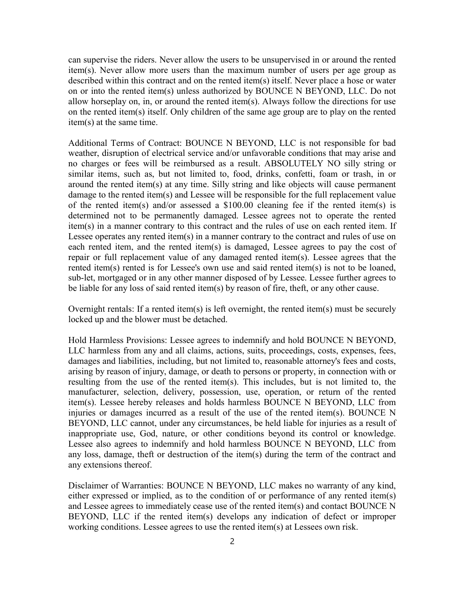can supervise the riders. Never allow the users to be unsupervised in or around the rented item(s). Never allow more users than the maximum number of users per age group as described within this contract and on the rented item(s) itself. Never place a hose or water on or into the rented item(s) unless authorized by BOUNCE N BEYOND, LLC. Do not allow horseplay on, in, or around the rented item(s). Always follow the directions for use on the rented item(s) itself. Only children of the same age group are to play on the rented item(s) at the same time.

Additional Terms of Contract: BOUNCE N BEYOND, LLC is not responsible for bad weather, disruption of electrical service and/or unfavorable conditions that may arise and no charges or fees will be reimbursed as a result. ABSOLUTELY NO silly string or similar items, such as, but not limited to, food, drinks, confetti, foam or trash, in or around the rented item(s) at any time. Silly string and like objects will cause permanent damage to the rented item(s) and Lessee will be responsible for the full replacement value of the rented item(s) and/or assessed a \$100.00 cleaning fee if the rented item(s) is determined not to be permanently damaged. Lessee agrees not to operate the rented item(s) in a manner contrary to this contract and the rules of use on each rented item. If Lessee operates any rented item(s) in a manner contrary to the contract and rules of use on each rented item, and the rented item(s) is damaged, Lessee agrees to pay the cost of repair or full replacement value of any damaged rented item(s). Lessee agrees that the rented item(s) rented is for Lessee's own use and said rented item(s) is not to be loaned, sub-let, mortgaged or in any other manner disposed of by Lessee. Lessee further agrees to be liable for any loss of said rented item(s) by reason of fire, theft, or any other cause.

Overnight rentals: If a rented item(s) is left overnight, the rented item(s) must be securely locked up and the blower must be detached.

Hold Harmless Provisions: Lessee agrees to indemnify and hold BOUNCE N BEYOND, LLC harmless from any and all claims, actions, suits, proceedings, costs, expenses, fees, damages and liabilities, including, but not limited to, reasonable attorney's fees and costs, arising by reason of injury, damage, or death to persons or property, in connection with or resulting from the use of the rented item(s). This includes, but is not limited to, the manufacturer, selection, delivery, possession, use, operation, or return of the rented item(s). Lessee hereby releases and holds harmless BOUNCE N BEYOND, LLC from injuries or damages incurred as a result of the use of the rented item(s). BOUNCE N BEYOND, LLC cannot, under any circumstances, be held liable for injuries as a result of inappropriate use, God, nature, or other conditions beyond its control or knowledge. Lessee also agrees to indemnify and hold harmless BOUNCE N BEYOND, LLC from any loss, damage, theft or destruction of the item(s) during the term of the contract and any extensions thereof.

Disclaimer of Warranties: BOUNCE N BEYOND, LLC makes no warranty of any kind, either expressed or implied, as to the condition of or performance of any rented item(s) and Lessee agrees to immediately cease use of the rented item(s) and contact BOUNCE N BEYOND, LLC if the rented item(s) develops any indication of defect or improper working conditions. Lessee agrees to use the rented item(s) at Lessees own risk.